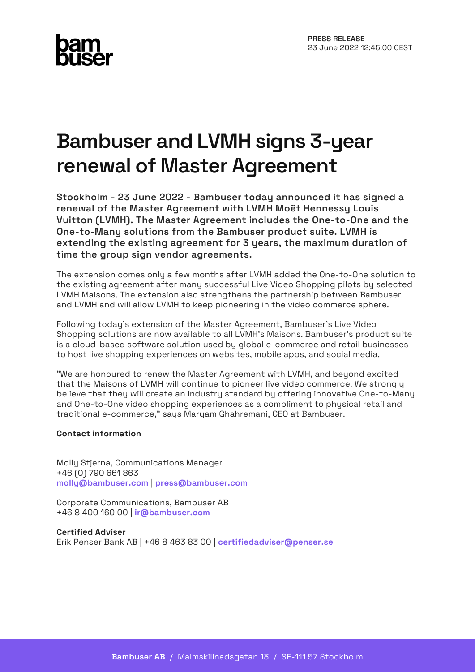# **Bambuser and LVMH signs 3-year renewal of Master Agreement**

**Stockholm - 23 June 2022 - Bambuser today announced it has signed a renewal of the Master Agreement with LVMH Moët Hennessy Louis Vuitton (LVMH). The Master Agreement includes the One-to-One and the One-to-Many solutions from the Bambuser product suite. LVMH is extending the existing agreement for 3 years, the maximum duration of time the group sign vendor agreements.**

The extension comes only a few months after LVMH added the One-to-One solution to the existing agreement after many successful Live Video Shopping pilots by selected LVMH Maisons. The extension also strengthens the partnership between Bambuser and LVMH and will allow LVMH to keep pioneering in the video commerce sphere.

Following today's extension of the Master Agreement, Bambuser's Live Video Shopping solutions are now available to all LVMH's Maisons. Bambuser's product suite is a cloud-based software solution used by global e-commerce and retail businesses to host live shopping experiences on websites, mobile apps, and social media.

"We are honoured to renew the Master Agreement with LVMH, and beyond excited that the Maisons of LVMH will continue to pioneer live video commerce. We strongly believe that they will create an industry standard by offering innovative One-to-Many and One-to-One video shopping experiences as a compliment to physical retail and traditional e-commerce," says Maryam Ghahremani, CEO at Bambuser.

## **Contact information**

Molly Stjerna, Communications Manager +46 (0) 790 661 863 **[molly@bambuser.com](mailto:molly@bambuser.com)** | **[press@bambuser.com](mailto:press@bambuser.com)**

Corporate Communications, Bambuser AB +46 8 400 160 00 | **[ir@bambuser.com](mailto:ir@bambuser.com)**

**Certified Adviser** Erik Penser Bank AB | +46 8 463 83 00 | **[certifiedadviser@penser.se](mailto:certifiedadviser@penser.se)**